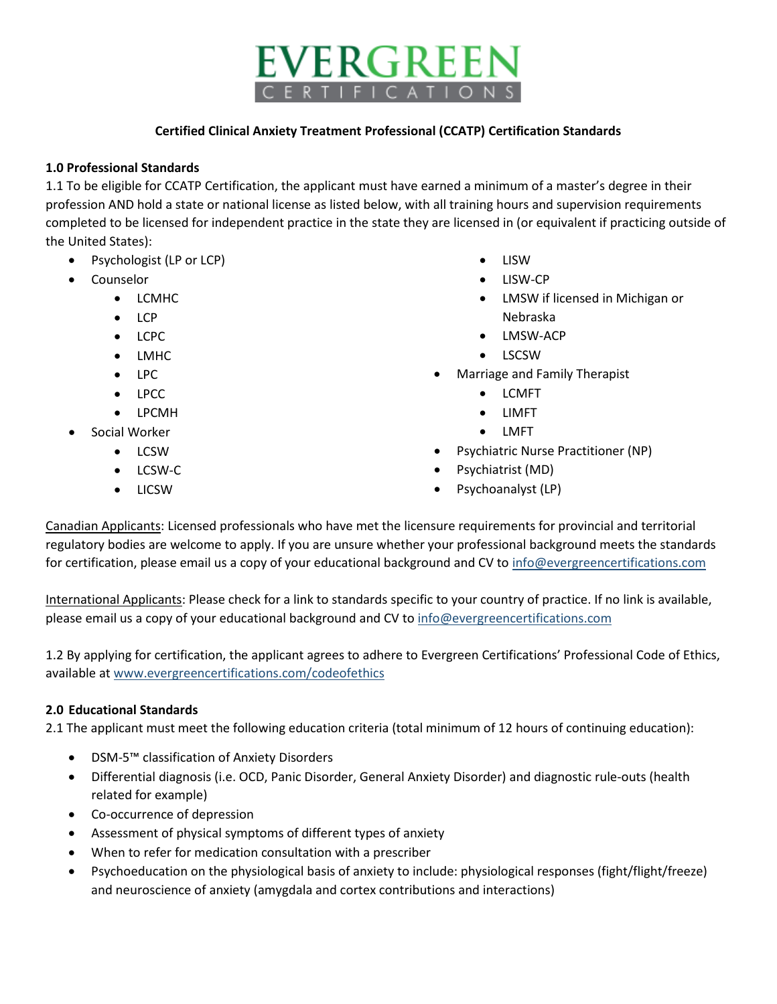# EVERGREEN **RTIFICATION**

#### **Certified Clinical Anxiety Treatment Professional (CCATP) Certification Standards**

## **1.0 Professional Standards**

1.1 To be eligible for CCATP Certification, the applicant must have earned a minimum of a master's degree in their profession AND hold a state or national license as listed below, with all training hours and supervision requirements completed to be licensed for independent practice in the state they are licensed in (or equivalent if practicing outside of the United States):

- Psychologist (LP or LCP)
- **Counselor** 
	- LCMHC
	- LCP
	- LCPC
	- LMHC
	- LPC
	- LPCC
	- LPCMH
- Social Worker
	- LCSW
	- LCSW-C
	- LICSW
- LISW
- LISW-CP
- LMSW if licensed in Michigan or Nebraska
- LMSW-ACP
- LSCSW
- Marriage and Family Therapist
	- LCMFT
	- LIMFT
	- LMFT
- Psychiatric Nurse Practitioner (NP)
- Psychiatrist (MD)
- Psychoanalyst (LP)

Canadian Applicants: Licensed professionals who have met the licensure requirements for provincial and territorial regulatory bodies are welcome to apply. If you are unsure whether your professional background meets the standards for certification, please email us a copy of your educational background and CV t[o info@evergreencertifications.com](mailto:info@evergreencertifications.com)

International Applicants: Please check for a link to standards specific to your country of practice. If no link is available, please email us a copy of your educational background and CV to [info@evergreencertifications.com](mailto:info@evergreencertifications.com)

1.2 By applying for certification, the applicant agrees to adhere to Evergreen Certifications' Professional Code of Ethics, available a[t www.evergreencertifications.com/codeofethics](http://www.evergreencertifications.com/codeofethics)

### **2.0 Educational Standards**

2.1 The applicant must meet the following education criteria (total minimum of 12 hours of continuing education):

- DSM-5™ classification of Anxiety Disorders
- Differential diagnosis (i.e. OCD, Panic Disorder, General Anxiety Disorder) and diagnostic rule-outs (health related for example)
- Co-occurrence of depression
- Assessment of physical symptoms of different types of anxiety
- When to refer for medication consultation with a prescriber
- Psychoeducation on the physiological basis of anxiety to include: physiological responses (fight/flight/freeze) and neuroscience of anxiety (amygdala and cortex contributions and interactions)